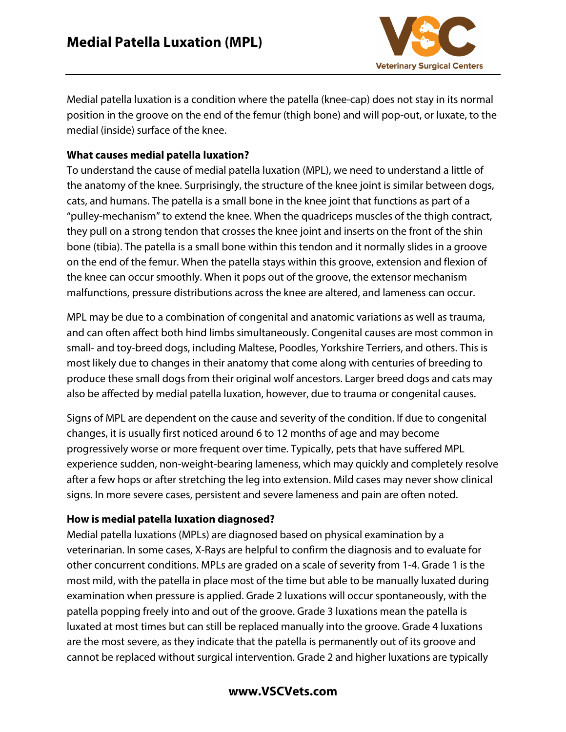

Medial patella luxation is a condition where the patella (knee-cap) does not stay in its normal position in the groove on the end of the femur (thigh bone) and will pop-out, or luxate, to the medial (inside) surface of the knee.

## **What causes medial patella luxation?**

To understand the cause of medial patella luxation (MPL), we need to understand a little of the anatomy of the knee. Surprisingly, the structure of the knee joint is similar between dogs, cats, and humans. The patella is a small bone in the knee joint that functions as part of a "pulley-mechanism" to extend the knee. When the quadriceps muscles of the thigh contract, they pull on a strong tendon that crosses the knee joint and inserts on the front of the shin bone (tibia). The patella is a small bone within this tendon and it normally slides in a groove on the end of the femur. When the patella stays within this groove, extension and flexion of the knee can occur smoothly. When it pops out of the groove, the extensor mechanism malfunctions, pressure distributions across the knee are altered, and lameness can occur.

MPL may be due to a combination of congenital and anatomic variations as well as trauma, and can often affect both hind limbs simultaneously. Congenital causes are most common in small- and toy-breed dogs, including Maltese, Poodles, Yorkshire Terriers, and others. This is most likely due to changes in their anatomy that come along with centuries of breeding to produce these small dogs from their original wolf ancestors. Larger breed dogs and cats may also be affected by medial patella luxation, however, due to trauma or congenital causes.

Signs of MPL are dependent on the cause and severity of the condition. If due to congenital changes, it is usually first noticed around 6 to 12 months of age and may become progressively worse or more frequent over time. Typically, pets that have suffered MPL experience sudden, non-weight-bearing lameness, which may quickly and completely resolve after a few hops or after stretching the leg into extension. Mild cases may never show clinical signs. In more severe cases, persistent and severe lameness and pain are often noted.

### **How is medial patella luxation diagnosed?**

Medial patella luxations (MPLs) are diagnosed based on physical examination by a veterinarian. In some cases, X-Rays are helpful to confirm the diagnosis and to evaluate for other concurrent conditions. MPLs are graded on a scale of severity from 1-4. Grade 1 is the most mild, with the patella in place most of the time but able to be manually luxated during examination when pressure is applied. Grade 2 luxations will occur spontaneously, with the patella popping freely into and out of the groove. Grade 3 luxations mean the patella is luxated at most times but can still be replaced manually into the groove. Grade 4 luxations are the most severe, as they indicate that the patella is permanently out of its groove and cannot be replaced without surgical intervention. Grade 2 and higher luxations are typically

# **www.VSCVets.com**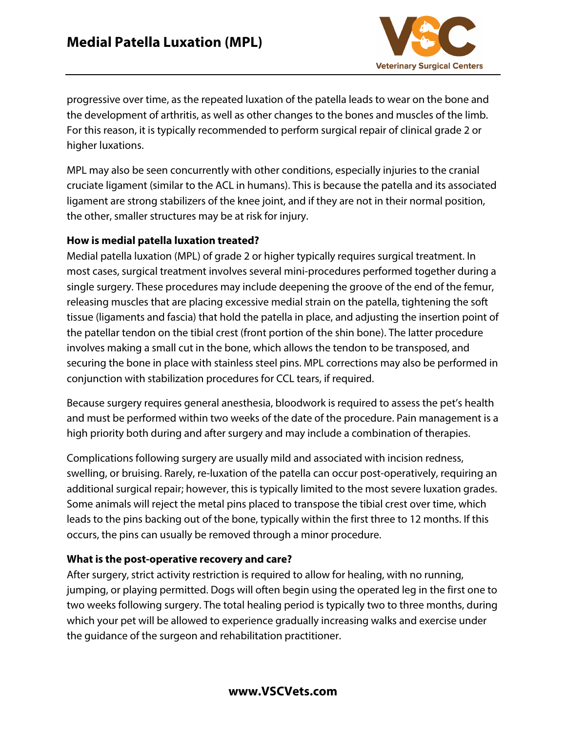

progressive over time, as the repeated luxation of the patella leads to wear on the bone and the development of arthritis, as well as other changes to the bones and muscles of the limb. For this reason, it is typically recommended to perform surgical repair of clinical grade 2 or higher luxations.

MPL may also be seen concurrently with other conditions, especially injuries to the cranial cruciate ligament (similar to the ACL in humans). This is because the patella and its associated ligament are strong stabilizers of the knee joint, and if they are not in their normal position, the other, smaller structures may be at risk for injury.

### **How is medial patella luxation treated?**

Medial patella luxation (MPL) of grade 2 or higher typically requires surgical treatment. In most cases, surgical treatment involves several mini-procedures performed together during a single surgery. These procedures may include deepening the groove of the end of the femur, releasing muscles that are placing excessive medial strain on the patella, tightening the soft tissue (ligaments and fascia) that hold the patella in place, and adjusting the insertion point of the patellar tendon on the tibial crest (front portion of the shin bone). The latter procedure involves making a small cut in the bone, which allows the tendon to be transposed, and securing the bone in place with stainless steel pins. MPL corrections may also be performed in conjunction with stabilization procedures for CCL tears, if required.

Because surgery requires general anesthesia, bloodwork is required to assess the pet's health and must be performed within two weeks of the date of the procedure. Pain management is a high priority both during and after surgery and may include a combination of therapies.

Complications following surgery are usually mild and associated with incision redness, swelling, or bruising. Rarely, re-luxation of the patella can occur post-operatively, requiring an additional surgical repair; however, this is typically limited to the most severe luxation grades. Some animals will reject the metal pins placed to transpose the tibial crest over time, which leads to the pins backing out of the bone, typically within the first three to 12 months. If this occurs, the pins can usually be removed through a minor procedure.

### **What is the post-operative recovery and care?**

After surgery, strict activity restriction is required to allow for healing, with no running, jumping, or playing permitted. Dogs will often begin using the operated leg in the first one to two weeks following surgery. The total healing period is typically two to three months, during which your pet will be allowed to experience gradually increasing walks and exercise under the guidance of the surgeon and rehabilitation practitioner.